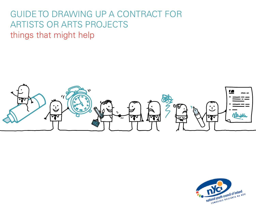# guide to drawing up a contract for artists or arts projects things that might help



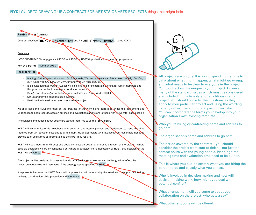# Parties to the Contract:

Contract between THE HOST ORGANISATION and AN ARTIST/PRACTITIONER, dated XXXXX

## Services:

HOST ORGANISATION engages AN ARTIST as ARTIST on HOST Organisation's summer art programme

## For the period: summer 2011

## Incorporating:

- leading 10 drama workshops for 15-17 year olds, Wednesday evenings, 7-9pm Wed 1st, 8th,15th,22nd, 29th June; Wed 6th, 13th, 20th, 27th July and Wed 3rd August 2011.
- It is envisaged that Wed 3<sup>rd</sup> August will be a 'sharing' or celebration evening for family members and the group and will not be a regular workshop session.
- Design and planning of workshops with Host's Senior Youth WorkerXXXXX.
- Set up and tidy up sessions each evening
- Participation in evaluation exercises after the project

AN shall keep the HOST informed on the progress of the work being performed under this agreement and undertakes to keep records, session outlines and evaluations and to share these with HOST after each session

The services and duties set out above are together referred to as the "services".

HOST will communicate via telephone and email in the interim periods and endeavour to keep the time required from AN between sessions to a minimum. HOST appreciate AN's availablity on reasonable notice to provide such assistance or information as the HOST may require.

HOST will seek input from AN on group decisions, session design and artistic direction of the project. Where possible decisions will be by consensus but where a strategic line is necessary by HOST, this decision of the HOST will be carried.

The project will be designed in consultation with XXX Senior Youth Worker and be designed to reflect the needs, competencies and resources of the target group as specified by HOST

A representative from the HOST Team will be present at all times during the sessions to support facilitation, delivery, co-ordination, child protection and operations.



All projects are unique. It is worth spending the time to think about what might happen, what might go wrong, and what needs to be clear to everyone in the project. Your contract will be unique to your project. However, many of the standard issues which must be considered are included in this template for a fictitious drama project. You should consider the questions as they apply to your particular project and using the wording to help, rather than cutting and pasting verbatim. You can incorporate the terms you develop into your organisation's own existing template.

Who you're hiring or contracting name and address to go here.

The organisation's name and address to go here.

The period covered by the contract  $-$  you should consider the project from start to finish – not just the contact hours with the young people. Planning time, meeting time and evaluation time need to be built in.

This is where you outline exactly what you are hiring the person to do and exactly what you expect.

Who is involved in decision making and how will decision making work, how might you deal with potential conflict?

What arrangement will you come to about your collaboration on the project- who gets a say?

What other supports will be offered.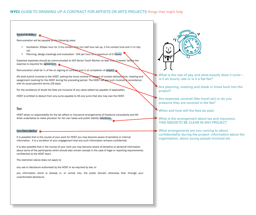## **NYCI** GUIDE TO DRAWING UP A CONTRACT FOR ARTISTS OR ARTS PROJECTS things that might help

#### Remuneration:

Remuneration will be payable at the following rates:

- facilitation: XXXper hour for 3 hrs contact time (inc half hour set up, 2 hrs contact time and  $\frac{1}{2}$  hr tidy up)
- Planning, design, meetings and evaluation : XXX per hour (to a maximum of 5 hours)

Expected expenses should be communicated to XXX Senior Youth Worker no later than 2 weeks' before the expense is required for agreement.

Remuneration shall be 1/2 of fee on signing of contract and 1/2 at completion of project.

AN shall submit invoices to the HOST, setting the hours worked in respect of contact deliver time, meeting and assignment marking for the HOST during the preceding period. The HOST will pay such invoices in accordance with its usual payment terms (28 days)

For the avoidance of doubt the fees are inclusive of any value added tax payable (if applicable).

HOST is entitled to deduct from any sums payable to AN any sums that she may owe the HOST.

#### Tax:

HOST takes no responsibility for the tax affairs or insurance arrangements of freelance consultants and AN Artist undertakes to make provision for her own taxes and public liability insurance.

#### Confidentiality:

It is possible that in the course of your work for HOST you may become aware of sensitive or internal information. It is a condition of your engagement that any such information remains confidential.

It is also possible that in the course of your work you may become aware of sensitive or personal information about some of the participants which should also remain (except in the case of legal or reporting requirements) confidential to the HOST team.

The restriction above does not apply to:

any use or disclosure authorised by the HOST or as required by law; or

any information which is already in, or comes into, the public domain otherwise than through your unauthorised disclosure.



What is the rate of pay and what exactly does it cover  $-\frac{1}{2}$ is it an hourly rate or is it a flat fee?

Are planning, meeting and check in times built into the project?

Are expenses covered (like travel etc) or do you presume they are covered in the fee?

When and how will the fees be paid.

What is the arrangement about tax and insurance. THIS NEEDS TO BE CLEAR IN ANY PROJECT

What arrangements are you coming to about confidentiality during the project- information about the organisation, about young people involved etc.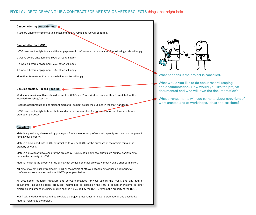## Cancellation by practitioner:

If you are unable to complete this engagement, any remaining fee will be forfeit.

#### Cancellation by HOST:

HOST reserves the right to cancel this engagement in unforeseen circumstances. The following scale will apply:

2 weeks before engagement: 100% of fee will apply

2-4 weeks before engagement: 75% of fee will apply

4-6 weeks before engagement: 50% of fee will apply

More than 6 weeks notice of cancellation: no fee will apply

#### Documentation/Record keeping:

Workshop/ session outlines should be sent to XXX Senior Youth Worker , no later than 1 week before the intended workshop/session.

Records, assignments and participant marks will be kept as per the outlines in the staff handbook.

HOST reserves the right to take photos and other documentation for documentation, archive, and future promotion purposes.

#### Copyright:

Materials previously developed by you in your freelance or other professional capacity and used on the project remain your property.

Materials developed with HOST, or furnished to you by HOST, for the purposes of the project remain the property of HOST.

Materials previously developed for the project by HOST, module outlines, curriculum outline, assignments remain the property of HOST.

Material which is the property of HOST may not be used on other projects without HOST's prior permission.

AN Artist may not publicly represent HOST or the project at official engagements (such as delivering at conferences, seminars etc) without HOST's prior permission.

All documents, manuals, hardware and software provided for your use by the HOST, and any data or documents (including copies) produced, maintained or stored on the HOST's computer systems or other electronic equipment (including mobile phones if provided by the HOST), remain the property of the HOST.

HOST acknowledge that you will be credited as project practitioner in relevant promotional and descriptive material relating to the project.



What happens if the project is cancelled?

What would you like to do about record keeping and documentation? How would you like the project documented and who will own the documentation?

What arrangements will you come to about copyright of work created and of workshops, ideas and sessions?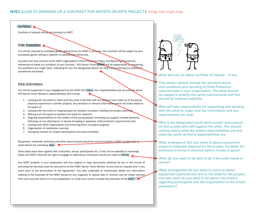## Conflicts:

Conflicts of interest should be declared to HOST.

## Child Protection:

You will be required to complete garda vetting forms for HOST to process. Your contract will be subject to your successful garda vetting in addition to satisfactory references.

Included with this contract is the HOST organisation's Child Protection Policy and Reporting Procedures. Adherence to these is a condition of your contract. XXX Senior Youth Worker will be responsible for answering any questions you might have, indicating for you the designated person for HOST and outlining any additional procedures necessary.

#### Other information:

You will be supported in your engagement by the HOST Arts Team. Your responsibilities are as outlined above. XXX Senior Youth Worker's responsibilities will include:

- 1. Liaising with the artist to make sure the artist is familiar with the dynamic and make up of the group, previous experience in similar projects, any sensitive or relevant information which the artist needs to be aware of.
- 2. Liaising with the artist on ongoing basis for duration of project, feeding into project planning
- 3. Making sure the space is booked and ready for sessions
- 4. Ongoing responsibility for the welfare of the young people (including any support outside sessions, following up non-attendance or issues emerging in sessions, child protection requirements etc)
- 5. Liaising with HOST Organisation and informing them of project progress
- 6. Organisation of celebration evening
- 7. Arranging consent for project participation and documentation

Equipment, materials, technical and other requirements should be communicated to HOST no later than 1 week before the workshop date.

Once dates have been agreed with consultant, venue, participants etc, it may not be possible to rearrange dates and HOST reserves the right to engage an alternative consultant should you need to cancel.

Any HOST property in your possession and any original or copy documents obtained by you in the course of providing the Services shall be returned to of the HOST Senior Youth Worker, at any time on request and in any event prior to the termination of this Agreement. You also undertake to irretrievably delete any information relating to the business of the HOST stored on any magnetic or optical disk or memory and all matter derived from such sources which is in your possession or under your control outside the premises of the HOST.



What will you do about conflicts of interest - if any.

This section should include the standard terms and conditions and wording of Child Protection requirements in your organisation. The artist should be subject to exactly the same requirements and this should be outlined explicitly.

Who will take responsibility for supporting and working with the artist to make sure the information and any requirements are clear.

Who is the designated youth work contact and support on this project who will support the artist. You should outline clearly what the artist's responsibilities are and what the youth worker's responsibilities are.

What arrangment will you come to about equipment, props or materials required for the project. It's better for everyone to know in advance before money is spent!

What do you want to be able to do if the artist needs to cancel?

What arrangement do you want to come to about equipment (cameras etc) lent to the artist for the project, and also what do you want to do about information regarding participants and the organisation in the artist's possession?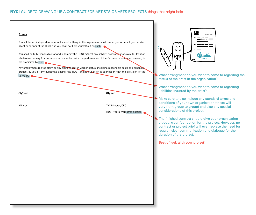# NYCI GUIDE TO DRAWING UP A CONTRACT FOR ARTISTS OR ARTS PROJECTS things that might help

## **STATUS**

You will be an independent contractor and nothing in this Agreement shall render you an employee, worker, agent or partner of the HOST and you shall not hold yourself out as such.

You shall be fully responsible for and indemnify the HOST against any liability, assessment or claim for taxation whatsoever arising from or made in connection with the performance of the Services, where such recovery is not prohibited by law;

Any employment-related claim or any claim based on worker status (including reasonable costs and expenses) brought by you or any substitute against the HOST arising out of or in connection with the provision of the Services.

Signed Signed

AN Artist XXX Director/CEO

HOST Youth Work Organisation

What arrangment do you want to come to regarding the status of the artist in the organisation?

What arrangment do you want to come to regarding liabilities incurred by the artist?

Make sure to also include any standard terms and conditions of your own organisation (these will vary from group to group) and also any special considerations of this project.

The finished contract should give your organisation a good, clear foundation for the project. However, no contract or project brief will ever replace the need for regular, clear communication and dialogue for the duration of the project.

**Best of luck with your project!**